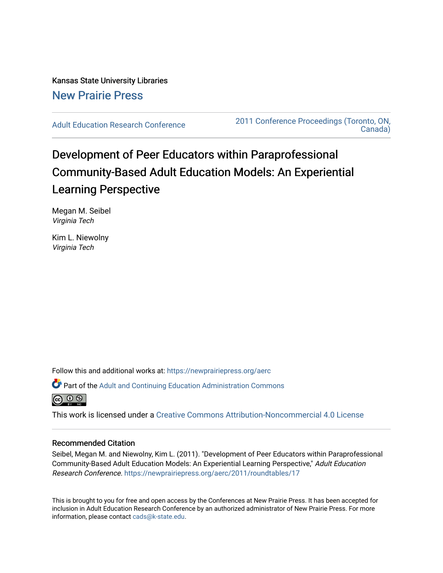Kansas State University Libraries [New Prairie Press](https://newprairiepress.org/) 

[Adult Education Research Conference](https://newprairiepress.org/aerc) [2011 Conference Proceedings \(Toronto, ON,](https://newprairiepress.org/aerc/2011)  [Canada\)](https://newprairiepress.org/aerc/2011) 

# Development of Peer Educators within Paraprofessional Community-Based Adult Education Models: An Experiential Learning Perspective

Megan M. Seibel Virginia Tech

Kim L. Niewolny Virginia Tech

Follow this and additional works at: [https://newprairiepress.org/aerc](https://newprairiepress.org/aerc?utm_source=newprairiepress.org%2Faerc%2F2011%2Froundtables%2F17&utm_medium=PDF&utm_campaign=PDFCoverPages)

Part of the [Adult and Continuing Education Administration Commons](http://network.bepress.com/hgg/discipline/789?utm_source=newprairiepress.org%2Faerc%2F2011%2Froundtables%2F17&utm_medium=PDF&utm_campaign=PDFCoverPages)



This work is licensed under a [Creative Commons Attribution-Noncommercial 4.0 License](https://creativecommons.org/licenses/by-nc/4.0/)

### Recommended Citation

Seibel, Megan M. and Niewolny, Kim L. (2011). "Development of Peer Educators within Paraprofessional Community-Based Adult Education Models: An Experiential Learning Perspective," Adult Education Research Conference. <https://newprairiepress.org/aerc/2011/roundtables/17>

This is brought to you for free and open access by the Conferences at New Prairie Press. It has been accepted for inclusion in Adult Education Research Conference by an authorized administrator of New Prairie Press. For more information, please contact [cads@k-state.edu](mailto:cads@k-state.edu).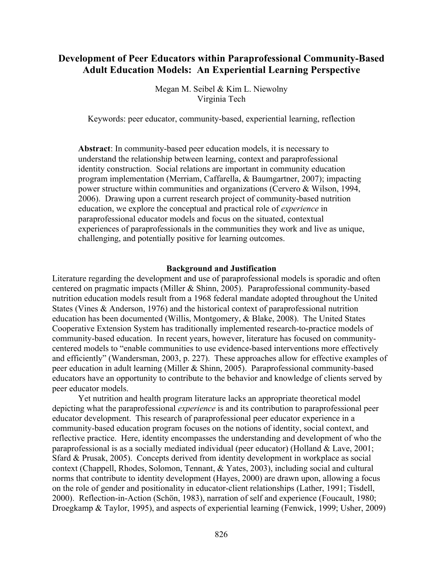# **Development of Peer Educators within Paraprofessional Community-Based Adult Education Models: An Experiential Learning Perspective**

Megan M. Seibel & Kim L. Niewolny Virginia Tech

Keywords: peer educator, community-based, experiential learning, reflection

**Abstract**: In community-based peer education models, it is necessary to understand the relationship between learning, context and paraprofessional identity construction. Social relations are important in community education program implementation (Merriam, Caffarella, & Baumgartner, 2007); impacting power structure within communities and organizations (Cervero & Wilson, 1994, 2006). Drawing upon a current research project of community-based nutrition education, we explore the conceptual and practical role of *experience* in paraprofessional educator models and focus on the situated, contextual experiences of paraprofessionals in the communities they work and live as unique, challenging, and potentially positive for learning outcomes.

#### **Background and Justification**

Literature regarding the development and use of paraprofessional models is sporadic and often centered on pragmatic impacts (Miller & Shinn, 2005). Paraprofessional community-based nutrition education models result from a 1968 federal mandate adopted throughout the United States (Vines & Anderson, 1976) and the historical context of paraprofessional nutrition education has been documented (Willis, Montgomery, & Blake, 2008). The United States Cooperative Extension System has traditionally implemented research-to-practice models of community-based education. In recent years, however, literature has focused on communitycentered models to "enable communities to use evidence-based interventions more effectively and efficiently" (Wandersman, 2003, p. 227). These approaches allow for effective examples of peer education in adult learning (Miller & Shinn, 2005). Paraprofessional community-based educators have an opportunity to contribute to the behavior and knowledge of clients served by peer educator models.

Yet nutrition and health program literature lacks an appropriate theoretical model depicting what the paraprofessional *experience* is and its contribution to paraprofessional peer educator development. This research of paraprofessional peer educator experience in a community-based education program focuses on the notions of identity, social context, and reflective practice. Here, identity encompasses the understanding and development of who the paraprofessional is as a socially mediated individual (peer educator) (Holland & Lave, 2001; Sfard & Prusak, 2005). Concepts derived from identity development in workplace as social context (Chappell, Rhodes, Solomon, Tennant, & Yates, 2003), including social and cultural norms that contribute to identity development (Hayes, 2000) are drawn upon, allowing a focus on the role of gender and positionality in educator-client relationships (Lather, 1991; Tisdell, 2000). Reflection-in-Action (Schön, 1983), narration of self and experience (Foucault, 1980; Droegkamp & Taylor, 1995), and aspects of experiential learning (Fenwick, 1999; Usher, 2009)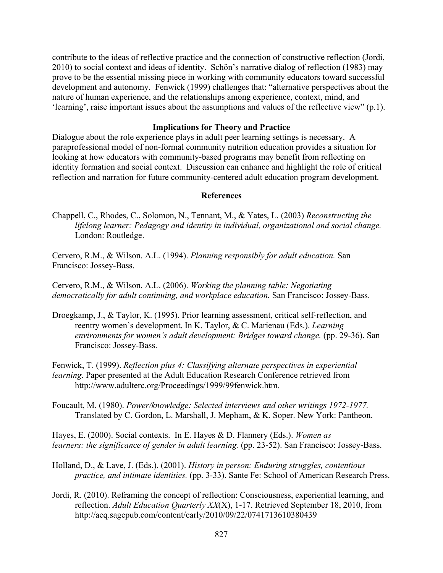contribute to the ideas of reflective practice and the connection of constructive reflection (Jordi, 2010) to social context and ideas of identity. Schön's narrative dialog of reflection (1983) may prove to be the essential missing piece in working with community educators toward successful development and autonomy. Fenwick (1999) challenges that: "alternative perspectives about the nature of human experience, and the relationships among experience, context, mind, and 'learning', raise important issues about the assumptions and values of the reflective view" (p.1).

# **Implications for Theory and Practice**

Dialogue about the role experience plays in adult peer learning settings is necessary. A paraprofessional model of non-formal community nutrition education provides a situation for looking at how educators with community-based programs may benefit from reflecting on identity formation and social context. Discussion can enhance and highlight the role of critical reflection and narration for future community-centered adult education program development.

# **References**

- Chappell, C., Rhodes, C., Solomon, N., Tennant, M., & Yates, L. (2003) *Reconstructing the lifelong learner: Pedagogy and identity in individual, organizational and social change.*  London: Routledge.
- Cervero, R.M., & Wilson. A.L. (1994). *Planning responsibly for adult education.* San Francisco: Jossey-Bass.

Cervero, R.M., & Wilson. A.L. (2006). *Working the planning table: Negotiating democratically for adult continuing, and workplace education.* San Francisco: Jossey-Bass.

- Droegkamp, J., & Taylor, K. (1995). Prior learning assessment, critical self-reflection, and reentry women's development. In K. Taylor, & C. Marienau (Eds.). *Learning environments for women's adult development: Bridges toward change.* (pp. 29-36). San Francisco: Jossey-Bass.
- Fenwick, T. (1999). *Reflection plus 4: Classifying alternate perspectives in experiential learning*. Paper presented at the Adult Education Research Conference retrieved from http://www.adulterc.org/Proceedings/1999/99fenwick.htm.
- Foucault, M. (1980). *Power/knowledge: Selected interviews and other writings 1972-1977.*  Translated by C. Gordon, L. Marshall, J. Mepham, & K. Soper. New York: Pantheon.

Hayes, E. (2000). Social contexts. In E. Hayes & D. Flannery (Eds.). *Women as learners: the significance of gender in adult learning.* (pp. 23-52). San Francisco: Jossey-Bass.

- Holland, D., & Lave, J. (Eds.). (2001). *History in person: Enduring struggles, contentious practice, and intimate identities.* (pp. 3-33). Sante Fe: School of American Research Press.
- Jordi, R. (2010). Reframing the concept of reflection: Consciousness, experiential learning, and reflection. *Adult Education Quarterly XX*(X), 1-17. Retrieved September 18, 2010, from http://aeq.sagepub.com/content/early/2010/09/22/0741713610380439